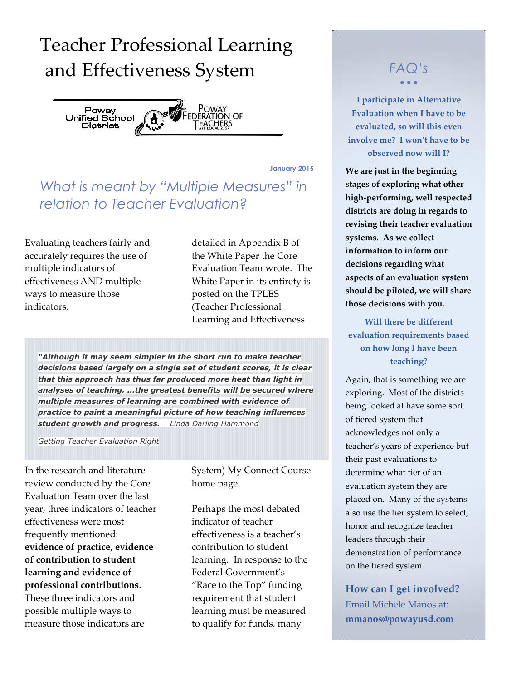## Teacher Professional Learning and Effectiveness System *FAQ's*



**January 2015**

### *What is meant by "Multiple Measures" in relation to Teacher Evaluation?*

Evaluating teachers fairly and accurately requires the use of multiple indicators of effectiveness AND multiple ways to measure those indicators.

detailed in Appendix B of the White Paper the Core Evaluation Team wrote. The White Paper in its entirety is posted on the TPLES (Teacher Professional Learning and Effectiveness

*"Although it may seem simpler in the short run to make teacher decisions based largely on a single set of student scores, it is clear that this approach has thus far produced more heat than light in analyses of teaching, …the greatest benefits will be secured where multiple measures of learning are combined with evidence of practice to paint a meaningful picture of how teaching influences student growth and progress. Linda Darling Hammond* 

*Getting Teacher Evaluation Right*

In the research and literature review conducted by the Core Evaluation Team over the last year, three indicators of teacher effectiveness were most frequently mentioned: **evidence of practice, evidence of contribution to student learning and evidence of professional contributions**. These three indicators and possible multiple ways to measure those indicators are

System) My Connect Course home page.

Perhaps the most debated indicator of teacher effectiveness is a teacher's contribution to student learning. In response to the Federal Government's "Race to the Top" funding requirement that student learning must be measured to qualify for funds, many

# $\bullet$   $\bullet$   $\bullet$

**I participate in Alternative Evaluation when I have to be evaluated, so will this even involve me? I won't have to be observed now will I?**

**We are just in the beginning stages of exploring what other high-performing, well respected districts are doing in regards to revising their teacher evaluation systems. As we collect information to inform our decisions regarding what aspects of an evaluation system should be piloted, we will share those decisions with you.** 

**Will there be different evaluation requirements based on how long I have been teaching?**

Again, that is something we are exploring. Most of the districts being looked at have some sort of tiered system that acknowledges not only a teacher's years of experience but their past evaluations to determine what tier of an evaluation system they are placed on. Many of the systems also use the tier system to select, honor and recognize teacher leaders through their demonstration of performance on the tiered system.

**How can I get involved?** Email Michele Manos at: **mmanos@powayusd.com**